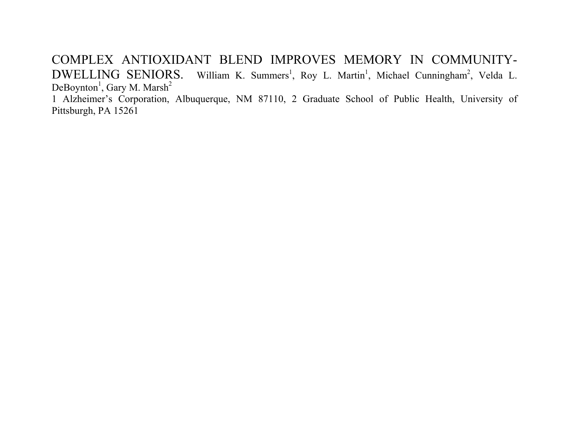COMPLEX ANTIOXIDANT BLEND IMPROVES MEMORY IN COMMUNITY-DWELLING SENIORS. William K. Summers<sup>1</sup>, Roy L. Martin<sup>1</sup>, Michael Cunningham<sup>2</sup>, Velda L. DeBoynton<sup>1</sup>, Gary M. Marsh<sup>2</sup>

1 Alzheimer's Corporation, Albuquerque, NM 87110, 2 Graduate School of Public Health, University of Pittsburgh, PA 15261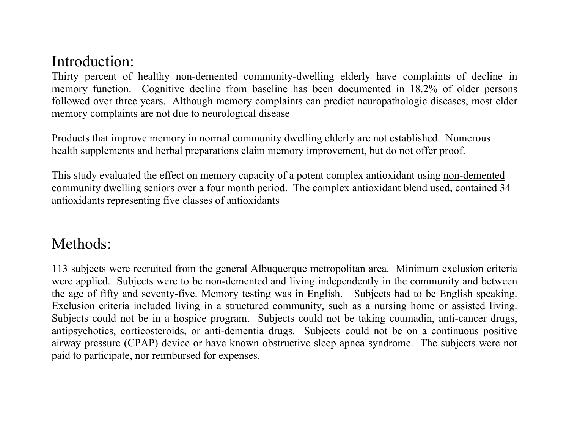### Introduction:

Thirty percent of healthy non-demented community-dwelling elderly have complaints of decline in memory function. Cognitive decline from baseline has been documented in 18.2% of older persons followed over three years. Although memory complaints can predict neuropathologic diseases, most elder memory complaints are not due to neurological disease

Products that improve memory in normal community dwelling elderly are not established. Numerous health supplements and herbal preparations claim memory improvement, but do not offer proof.

This study evaluated the effect on memory capacity of a potent complex antioxidant using non-demented community dwelling seniors over a four month period. The complex antioxidant blend used, contained 34 antioxidants representing five classes of antioxidants

### Methods:

113 subjects were recruited from the general Albuquerque metropolitan area. Minimum exclusion criteria were applied. Subjects were to be non-demented and living independently in the community and between the age of fifty and seventy-five. Memory testing was in English. Subjects had to be English speaking. Exclusion criteria included living in a structured community, such as a nursing home or assisted living. Subjects could not be in a hospice program. Subjects could not be taking coumadin, anti-cancer drugs, antipsychotics, corticosteroids, or anti-dementia drugs. Subjects could not be on a continuous positive airway pressure (CPAP) device or have known obstructive sleep apnea syndrome. The subjects were not paid to participate, nor reimbursed for expenses.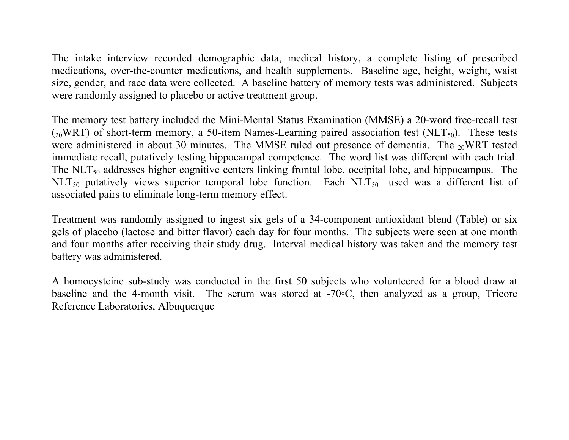The intake interview recorded demographic data, medical history, a complete listing of prescribed medications, over-the-counter medications, and health supplements. Baseline age, height, weight, waist size, gender, and race data were collected. A baseline battery of memory tests was administered. Subjects were randomly assigned to placebo or active treatment group.

The memory test battery included the Mini-Mental Status Examination (MMSE) a 20-word free-recall test  $_{20}$ WRT) of short-term memory, a 50-item Names-Learning paired association test (NLT<sub>50</sub>). These tests were administered in about 30 minutes. The MMSE ruled out presence of dementia. The  $_{20}$ WRT tested immediate recall, putatively testing hippocampal competence. The word list was different with each trial. The  $NLT_{50}$  addresses higher cognitive centers linking frontal lobe, occipital lobe, and hippocampus. The  $NLT_{50}$  putatively views superior temporal lobe function. Each  $NLT_{50}$  used was a different list of associated pairs to eliminate long-term memory effect.

Treatment was randomly assigned to ingest six gels of a 34-component antioxidant blend (Table) or six gels of placebo (lactose and bitter flavor) each day for four months. The subjects were seen at one month and four months after receiving their study drug. Interval medical history was taken and the memory test battery was administered.

A homocysteine sub-study was conducted in the first 50 subjects who volunteered for a blood draw at baseline and the 4-month visit. The serum was stored at -70◦C, then analyzed as a group, Tricore Reference Laboratories, Albuquerque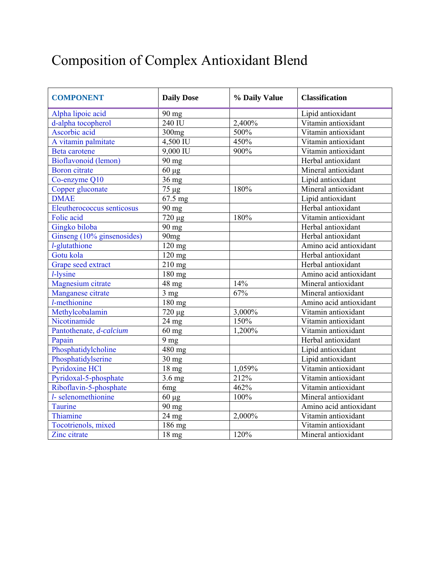# Composition of Complex Antioxidant Blend

| <b>COMPONENT</b>           | <b>Daily Dose</b>   | % Daily Value | <b>Classification</b>  |
|----------------------------|---------------------|---------------|------------------------|
| Alpha lipoic acid          | 90 mg               |               | Lipid antioxidant      |
| d-alpha tocopherol         | 240 IU              | 2,400%        | Vitamin antioxidant    |
| Ascorbic acid              | 300 <sub>mg</sub>   | 500%          | Vitamin antioxidant    |
| A vitamin palmitate        | 4,500 IU            | 450%          | Vitamin antioxidant    |
| <b>Beta</b> carotene       | 9,000 IU            | 900%          | Vitamin antioxidant    |
| Bioflavonoid (lemon)       | 90 mg               |               | Herbal antioxidant     |
| <b>Boron</b> citrate       | $60 \mu g$          |               | Mineral antioxidant    |
| Co-enzyme Q10              | $36 \text{ mg}$     |               | Lipid antioxidant      |
| Copper gluconate           | 75 µg               | 180%          | Mineral antioxidant    |
| <b>DMAE</b>                | 67.5 mg             |               | Lipid antioxidant      |
| Eleutherococcus senticosus | 90 mg               |               | Herbal antioxidant     |
| Folic acid                 | 720 µg              | 180%          | Vitamin antioxidant    |
| Gingko biloba              | 90 mg               |               | Herbal antioxidant     |
| Ginseng (10% ginsenosides) | 90 <sub>mg</sub>    |               | Herbal antioxidant     |
| l-glutathione              | 120 mg              |               | Amino acid antioxidant |
| Gotu kola                  | 120 mg              |               | Herbal antioxidant     |
| Grape seed extract         | 210 mg              |               | Herbal antioxidant     |
| $l$ -lysine                | 180 mg              |               | Amino acid antioxidant |
| Magnesium citrate          | 48 mg               | 14%           | Mineral antioxidant    |
| Manganese citrate          | 3 <sub>mg</sub>     | 67%           | Mineral antioxidant    |
| l-methionine               | $\overline{180}$ mg |               | Amino acid antioxidant |
| Methylcobalamin            | 720 µg              | 3,000%        | Vitamin antioxidant    |
| Nicotinamide               | 24 mg               | 150%          | Vitamin antioxidant    |
| Pantothenate, d-calcium    | $60 \text{ mg}$     | 1,200%        | Vitamin antioxidant    |
| Papain                     | 9 mg                |               | Herbal antioxidant     |
| Phosphatidylcholine        | 480 mg              |               | Lipid antioxidant      |
| Phosphatidylserine         | $30 \text{ mg}$     |               | Lipid antioxidant      |
| <b>Pyridoxine HCl</b>      | 18 mg               | 1,059%        | Vitamin antioxidant    |
| Pyridoxal-5-phosphate      | 3.6 mg              | 212%          | Vitamin antioxidant    |
| Riboflavin-5-phosphate     | 6mg                 | 462%          | Vitamin antioxidant    |
| l-selenomethionine         | $60 \mu g$          | 100%          | Mineral antioxidant    |
| Taurine                    | 90 mg               |               | Amino acid antioxidant |
| Thiamine                   | 24 mg               | 2,000%        | Vitamin antioxidant    |
| Tocotrienols, mixed        | 186 mg              |               | Vitamin antioxidant    |
| Zinc citrate               | 18 <sub>mg</sub>    | 120%          | Mineral antioxidant    |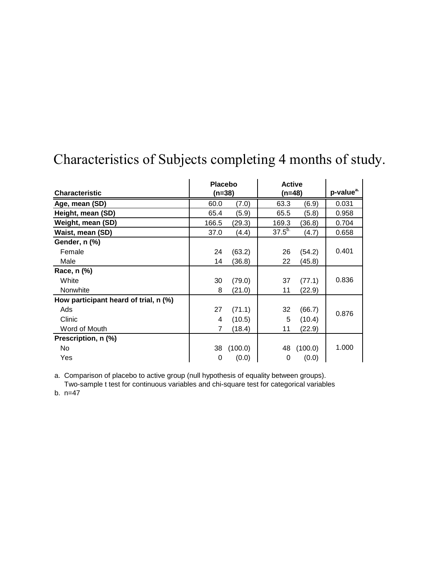|                                       | <b>Placebo</b> |         | <b>Active</b> |         |                       |
|---------------------------------------|----------------|---------|---------------|---------|-----------------------|
| <b>Characteristic</b>                 | $(n=38)$       |         | (n=48)        |         | p-value <sup>a.</sup> |
| Age, mean (SD)                        | 60.0           | (7.0)   | 63.3          | (6.9)   | 0.031                 |
| Height, mean (SD)                     | 65.4           | (5.9)   | 65.5          | (5.8)   | 0.958                 |
| Weight, mean (SD)                     | 166.5          | (29.3)  | 169.3         | (36.8)  | 0.704                 |
| Waist, mean (SD)                      | 37.0           | (4.4)   | $37.5^{b}$    | (4.7)   | 0.658                 |
| Gender, n (%)                         |                |         |               |         |                       |
| Female                                | 24             | (63.2)  | 26            | (54.2)  | 0.401                 |
| Male                                  | 14             | (36.8)  | 22            | (45.8)  |                       |
| Race, n (%)                           |                |         |               |         |                       |
| White                                 | 30             | (79.0)  | 37            | (77.1)  | 0.836                 |
| Nonwhite                              | 8              | (21.0)  | 11            | (22.9)  |                       |
| How participant heard of trial, n (%) |                |         |               |         |                       |
| Ads                                   | 27             | (71.1)  | 32            | (66.7)  | 0.876                 |
| Clinic                                | 4              | (10.5)  | 5             | (10.4)  |                       |
| Word of Mouth                         | 7              | (18.4)  | 11            | (22.9)  |                       |
| Prescription, n (%)                   |                |         |               |         |                       |
| No                                    | 38             | (100.0) | 48            | (100.0) | 1.000                 |
| Yes                                   | 0              | (0.0)   | 0             | (0.0)   |                       |

# Characteristics of Subjects completing 4 months of study.

a. Comparison of placebo to active group (null hypothesis of equality between groups).

Two-sample t test for continuous variables and chi-square test for categorical variables

b. n=47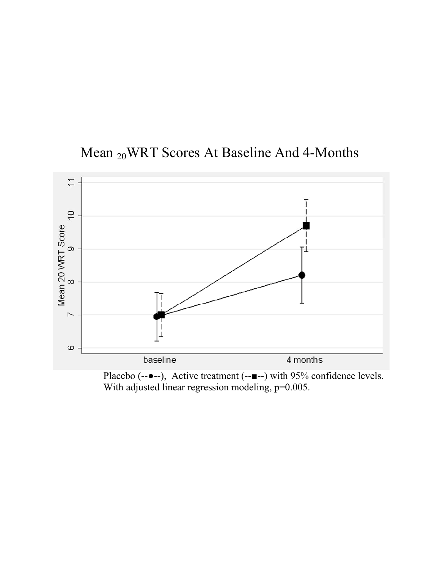



Placebo (-- $\bullet$ --), Active treatment (-- $\bullet$ --) with 95% confidence levels. With adjusted linear regression modeling, p=0.005.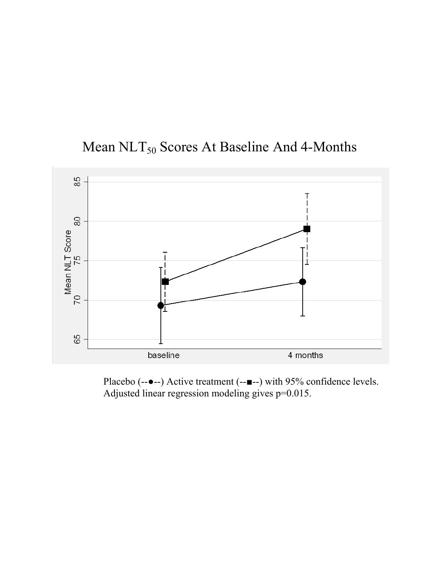



Placebo (--●--) Active treatment (--■--) with 95% confidence levels. Adjusted linear regression modeling gives p=0.015.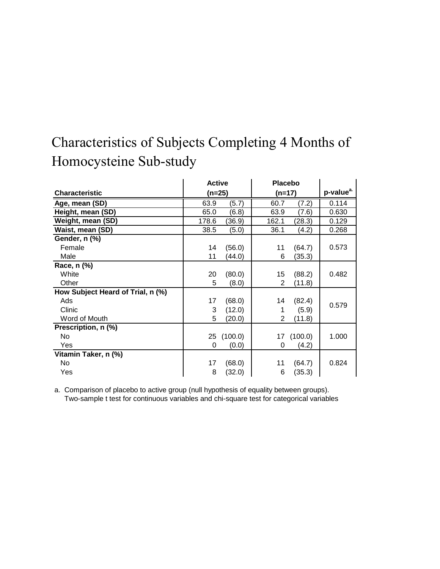# Characteristics of Subjects Completing 4 Months of Homocysteine Sub-study

|                                   | <b>Active</b> |            | <b>Placebo</b> |         |                       |
|-----------------------------------|---------------|------------|----------------|---------|-----------------------|
| <b>Characteristic</b>             | $(n=25)$      |            | $(n=17)$       |         | p-value <sup>a.</sup> |
| Age, mean (SD)                    | 63.9          | (5.7)      | 60.7           | (7.2)   | 0.114                 |
| Height, mean (SD)                 | 65.0          | (6.8)      | 63.9           | (7.6)   | 0.630                 |
| Weight, mean (SD)                 | 178.6         | (36.9)     | 162.1          | (28.3)  | 0.129                 |
| Waist, mean (SD)                  | 38.5          | (5.0)      | 36.1           | (4.2)   | 0.268                 |
| Gender, n (%)                     |               |            |                |         |                       |
| Female                            | 14            | (56.0)     | 11             | (64.7)  | 0.573                 |
| Male                              | 11            | (44.0)     | 6              | (35.3)  |                       |
| Race, n (%)                       |               |            |                |         |                       |
| White                             | 20            | (80.0)     | 15             | (88.2)  | 0.482                 |
| Other                             | 5             | (8.0)      | 2              | (11.8)  |                       |
| How Subject Heard of Trial, n (%) |               |            |                |         |                       |
| Ads                               | 17            | (68.0)     | 14             | (82.4)  | 0.579                 |
| Clinic                            | 3             | (12.0)     | 1              | (5.9)   |                       |
| Word of Mouth                     | 5             | (20.0)     | 2              | (11.8)  |                       |
| Prescription, n (%)               |               |            |                |         |                       |
| No                                |               | 25 (100.0) | 17             | (100.0) | 1.000                 |
| Yes                               | 0             | (0.0)      | 0              | (4.2)   |                       |
| Vitamin Taker, n (%)              |               |            |                |         |                       |
| No.                               | 17            | (68.0)     | 11             | (64.7)  | 0.824                 |
| Yes                               | 8             | (32.0)     | 6              | (35.3)  |                       |

a. Comparison of placebo to active group (null hypothesis of equality between groups). Two-sample t test for continuous variables and chi-square test for categorical variables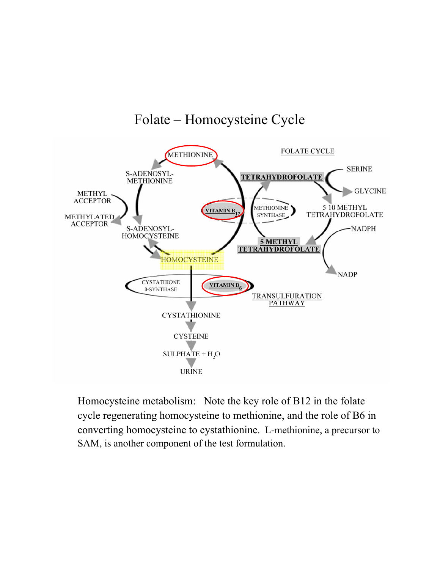#### Folate – Homocysteine Cycle



Homocysteine metabolism: Note the key role of B12 in the folate cycle regenerating homocysteine to methionine, and the role of B6 in converting homocysteine to cystathionine. L-methionine, a precursor to SAM, is another component of the test formulation.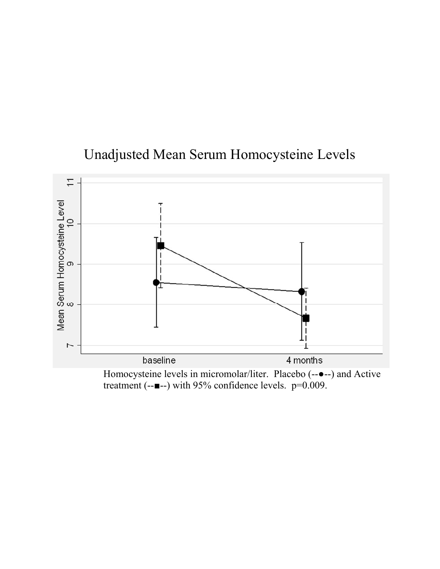## Unadjusted Mean Serum Homocysteine Levels



Homocysteine levels in micromolar/liter. Placebo (--●--) and Active treatment (--■--) with 95% confidence levels. p=0.009.